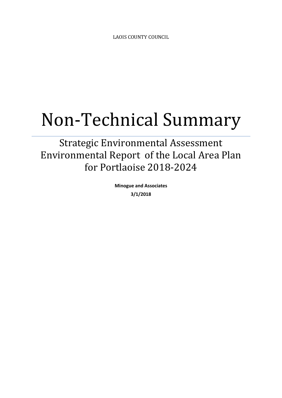LAOIS COUNTY COUNCIL

# Non-Technical Summary

Strategic Environmental Assessment Environmental Report of the Local Area Plan for Portlaoise 2018-2024

> **Minogue and Associates 3/1/2018**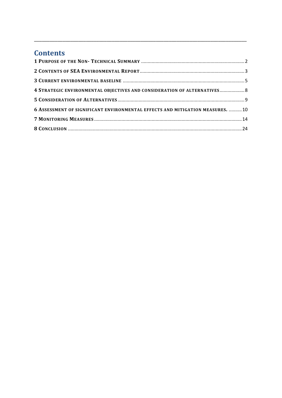## **Contents**

| 4 STRATEGIC ENVIRONMENTAL OBJECTIVES AND CONSIDERATION OF ALTERNATIVES 8       |  |
|--------------------------------------------------------------------------------|--|
|                                                                                |  |
| 6 ASSESSMENT OF SIGNIFICANT ENVIRONMENTAL EFFECTS AND MITIGATION MEASURES.  10 |  |
|                                                                                |  |
|                                                                                |  |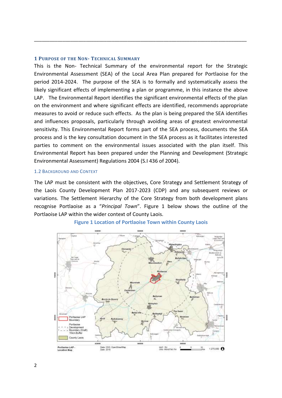#### <span id="page-2-0"></span>**1 PURPOSE OF THE NON- TECHNICAL SUMMARY**

This is the Non- Technical Summary of the environmental report for the Strategic Environmental Assessment (SEA) of the Local Area Plan prepared for Portlaoise for the period 2014-2024. The purpose of the SEA is to formally and systematically assess the likely significant effects of implementing a plan or programme, in this instance the above LAP. The Environmental Report identifies the significant environmental effects of the plan on the environment and where significant effects are identified, recommends appropriate measures to avoid or reduce such effects. As the plan is being prepared the SEA identifies and influences proposals, particularly through avoiding areas of greatest environmental sensitivity. This Environmental Report forms part of the SEA process, documents the SEA process and is the key consultation document in the SEA process as it facilitates interested parties to comment on the environmental issues associated with the plan itself. This Environmental Report has been prepared under the Planning and Development (Strategic Environmental Assessment) Regulations 2004 (S.I 436 of 2004).

\_\_\_\_\_\_\_\_\_\_\_\_\_\_\_\_\_\_\_\_\_\_\_\_\_\_\_\_\_\_\_\_\_\_\_\_\_\_\_\_\_\_\_\_\_\_\_\_\_\_\_\_\_\_\_\_\_\_\_\_\_\_\_\_\_\_\_\_\_\_\_\_\_\_\_\_\_\_\_\_\_\_

#### 1.2 BACKGROUND AND CONTEXT

The LAP must be consistent with the objectives, Core Strategy and Settlement Strategy of the Laois County Development Plan 2017-2023 (CDP) and any subsequent reviews or variations. The Settlement Hierarchy of the Core Strategy from both development plans recognise Portlaoise as a "*Principal Town*". Figure 1 below shows the outline of the Portlaoise LAP within the wider context of County Laois.



#### **Figure 1 Location of Portlaoise Town within County Laois**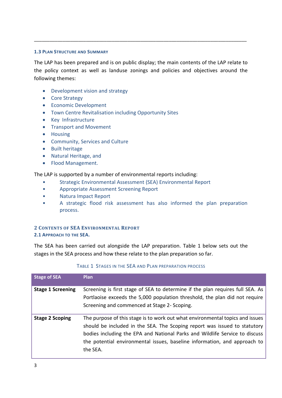### **1.3 PLAN STRUCTURE AND SUMMARY**

The LAP has been prepared and is on public display; the main contents of the LAP relate to the policy context as well as landuse zonings and policies and objectives around the following themes:

\_\_\_\_\_\_\_\_\_\_\_\_\_\_\_\_\_\_\_\_\_\_\_\_\_\_\_\_\_\_\_\_\_\_\_\_\_\_\_\_\_\_\_\_\_\_\_\_\_\_\_\_\_\_\_\_\_\_\_\_\_\_\_\_\_\_\_\_\_\_\_\_\_\_\_\_\_\_\_\_\_\_

- Development vision and strategy
- Core Strategy
- **•** Economic Development
- Town Centre Revitalisation including Opportunity Sites
- Key Infrastructure
- Transport and Movement
- Housing
- Community, Services and Culture
- Built heritage
- Natural Heritage, and
- Flood Management.

The LAP is supported by a number of environmental reports including:

- Strategic Environmental Assessment (SEA) Environmental Report
- Appropriate Assessment Screening Report
- Natura Impact Report
- A strategic flood risk assessment has also informed the plan preparation process.

## <span id="page-3-0"></span>**2 CONTENTS OF SEA ENVIRONMENTAL REPORT 2.1 APPROACH TO THE SEA.**

The SEA has been carried out alongside the LAP preparation. Table 1 below sets out the stages in the SEA process and how these relate to the plan preparation so far.

| <b>Stage of SEA</b>      | <b>Plan</b>                                                                                                                                                                                                                                                                                                                        |
|--------------------------|------------------------------------------------------------------------------------------------------------------------------------------------------------------------------------------------------------------------------------------------------------------------------------------------------------------------------------|
| <b>Stage 1 Screening</b> | Screening is first stage of SEA to determine if the plan requires full SEA. As<br>Portlaoise exceeds the 5,000 population threshold, the plan did not require<br>Screening and commenced at Stage 2- Scoping.                                                                                                                      |
| <b>Stage 2 Scoping</b>   | The purpose of this stage is to work out what environmental topics and issues<br>should be included in the SEA. The Scoping report was issued to statutory<br>bodies including the EPA and National Parks and Wildlife Service to discuss<br>the potential environmental issues, baseline information, and approach to<br>the SEA. |

## TABLE 1 STAGES IN THE SEA AND PLAN PREPARATION PROCESS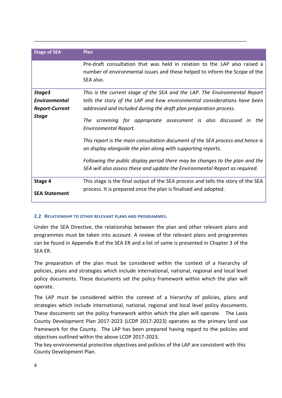| <b>Stage of SEA</b>                                                                                    | Plan                                                                                                                                                                 |  |  |  |
|--------------------------------------------------------------------------------------------------------|----------------------------------------------------------------------------------------------------------------------------------------------------------------------|--|--|--|
|                                                                                                        |                                                                                                                                                                      |  |  |  |
|                                                                                                        | Pre-draft consultation that was held in relation to the LAP also raised a<br>number of environmental issues and these helped to inform the Scope of the<br>SEA also. |  |  |  |
| Stage3                                                                                                 | This is the current stage of the SEA and the LAP. The Environmental Report                                                                                           |  |  |  |
| <b>Environmental</b>                                                                                   | tells the story of the LAP and how environmental considerations have been                                                                                            |  |  |  |
| <b>Report-Current</b>                                                                                  | addressed and included during the draft plan preparation process.                                                                                                    |  |  |  |
| <b>Stage</b><br>The screening for appropriate assessment is also discussed in<br>Environmental Report. |                                                                                                                                                                      |  |  |  |
|                                                                                                        | This report is the main consultation document of the SEA process and hence is<br>on display alongside the plan along with supporting reports.                        |  |  |  |
|                                                                                                        | Following the public display period there may be changes to the plan and the<br>SEA will also assess these and update the Environmental Report as required.          |  |  |  |
| Stage 4                                                                                                | This stage is the final output of the SEA process and tells the story of the SEA                                                                                     |  |  |  |
| <b>SEA Statement</b>                                                                                   | process. It is prepared once the plan is finalised and adopted.                                                                                                      |  |  |  |

## **2.2 RELATIONSHIP TO OTHER RELEVANT PLANS AND PROGRAMMES.**

Under the SEA Directive, the relationship between the plan and other relevant plans and programmes must be taken into account. A review of the relevant plans and programmes can be found in Appendix B of the SEA ER and a list of same is presented in Chapter 3 of the SEA ER.

The preparation of the plan must be considered within the context of a hierarchy of policies, plans and strategies which include international, national, regional and local level policy documents. These documents set the policy framework within which the plan will operate.

The LAP must be considered within the context of a hierarchy of policies, plans and strategies which include international, national, regional and local level policy documents. These documents set the policy framework within which the plan will operate. The Laois County Development Plan 2017-2023 (LCDP 2017-2023) operates as the primary land use framework for the County. The LAP has been prepared having regard to the policies and objectives outlined within the above LCDP 2017-2023.

The key environmental protective objectives and policies of the LAP are consistent with this County Development Plan.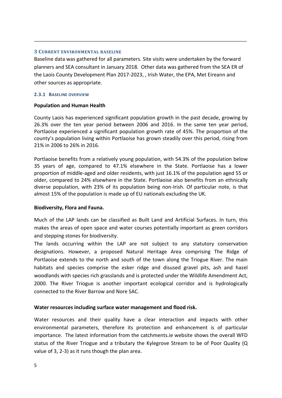### <span id="page-5-0"></span>**3 CURRENT ENVIRONMENTAL BASELINE**

Baseline data was gathered for all parameters. Site visits were undertaken by the forward planners and SEA consultant in January 2018. Other data was gathered from the SEA ER of the Laois County Development Plan 2017-2023, , Irish Water, the EPA, Met Eireann and other sources as appropriate.

\_\_\_\_\_\_\_\_\_\_\_\_\_\_\_\_\_\_\_\_\_\_\_\_\_\_\_\_\_\_\_\_\_\_\_\_\_\_\_\_\_\_\_\_\_\_\_\_\_\_\_\_\_\_\_\_\_\_\_\_\_\_\_\_\_\_\_\_\_\_\_\_\_\_\_\_\_\_\_\_\_\_

## **2.3.1 BASELINE OVERVIEW**

## **Population and Human Health**

County Laois has experienced significant population growth in the past decade, growing by 26.3% over the ten year period between 2006 and 2016. In the same ten year period, Portlaoise experienced a significant population growth rate of 45%. The proportion of the county's population living within Portlaoise has grown steadily over this period, rising from 21% in 2006 to 26% in 2016.

Portlaoise benefits from a relatively young population, with 54.3% of the population below 35 years of age, compared to 47.1% elsewhere in the State. Portlaoise has a lower proportion of middle-aged and older residents, with just 16.1% of the population aged 55 or older, compared to 24% elsewhere in the State. Portlaoise also benefits from an ethnically diverse population, with 23% of its population being non-Irish. Of particular note, is that almost 15% of the population is made up of EU nationals excluding the UK.

## **Biodiversity, Flora and Fauna.**

Much of the LAP lands can be classified as Built Land and Artificial Surfaces. In turn, this makes the areas of open space and water courses potentially important as green corridors and stepping stones for biodiversity.

The lands occurring within the LAP are not subject to any statutory conservation designations. However, a proposed Natural Heritage Area comprising The Ridge of Portlaoise extends to the north and south of the town along the Triogue River. The main habitats and species comprise the esker ridge and disused gravel pits, ash and hazel woodlands with species rich grasslands and is protected under the Wildlife Amendment Act, 2000. The River Triogue is another important ecological corridor and is hydrologically connected to the River Barrow and Nore SAC.

## **Water resources including surface water management and flood risk.**

Water resources and their quality have a clear interaction and impacts with other environmental parameters, therefore its protection and enhancement is of particular importance. The latest information from the catchments.ie website shows the overall WFD status of the River Triogue and a tributary the Kylegrove Stream to be of Poor Quality (Q value of 3, 2-3) as it runs though the plan area.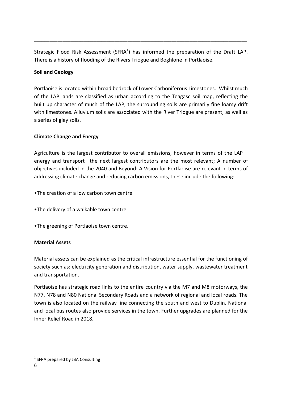Strategic Flood Risk Assessment (SFRA $<sup>1</sup>$ ) has informed the preparation of the Draft LAP.</sup> There is a history of flooding of the Rivers Triogue and Boghlone in Portlaoise.

\_\_\_\_\_\_\_\_\_\_\_\_\_\_\_\_\_\_\_\_\_\_\_\_\_\_\_\_\_\_\_\_\_\_\_\_\_\_\_\_\_\_\_\_\_\_\_\_\_\_\_\_\_\_\_\_\_\_\_\_\_\_\_\_\_\_\_\_\_\_\_\_\_\_\_\_\_\_\_\_\_\_

## **Soil and Geology**

Portlaoise is located within broad bedrock of Lower Carboniferous Limestones. Whilst much of the LAP lands are classified as urban according to the Teagasc soil map, reflecting the built up character of much of the LAP, the surrounding soils are primarily fine loamy drift with limestones. Alluvium soils are associated with the River Triogue are present, as well as a series of gley soils.

## **Climate Change and Energy**

Agriculture is the largest contributor to overall emissions, however in terms of the LAP – energy and transport –the next largest contributors are the most relevant; A number of objectives included in the 2040 and Beyond: A Vision for Portlaoise are relevant in terms of addressing climate change and reducing carbon emissions, these include the following:

- •The creation of a low carbon town centre
- •The delivery of a walkable town centre
- •The greening of Portlaoise town centre.

## **Material Assets**

Material assets can be explained as the critical infrastructure essential for the functioning of society such as: electricity generation and distribution, water supply, wastewater treatment and transportation.

Portlaoise has strategic road links to the entire country via the M7 and M8 motorways, the N77, N78 and N80 National Secondary Roads and a network of regional and local roads. The town is also located on the railway line connecting the south and west to Dublin. National and local bus routes also provide services in the town. Further upgrades are planned for the Inner Relief Road in 2018.

**.** 

<sup>&</sup>lt;sup>1</sup> SFRA prepared by JBA Consulting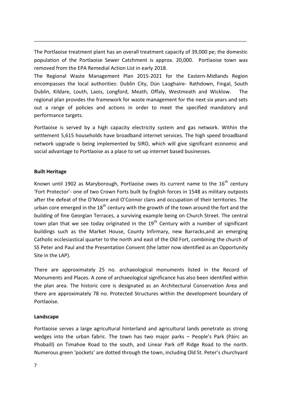The Portlaoise treatment plant has an overall treatment capacity of 39,000 pe; the domestic population of the Portlaoise Sewer Catchment is approx. 20,000. Portlaoise town was removed from the EPA Remedial Action List in early 2018.

\_\_\_\_\_\_\_\_\_\_\_\_\_\_\_\_\_\_\_\_\_\_\_\_\_\_\_\_\_\_\_\_\_\_\_\_\_\_\_\_\_\_\_\_\_\_\_\_\_\_\_\_\_\_\_\_\_\_\_\_\_\_\_\_\_\_\_\_\_\_\_\_\_\_\_\_\_\_\_\_\_\_

The Regional Waste Management Plan 2015-2021 for the Eastern-Midlands Region encompasses the local authorities: Dublin City, Dún Laoghaire- Rathdown, Fingal, South Dublin, Kildare, Louth, Laois, Longford, Meath, Offaly, Westmeath and Wicklow. The regional plan provides the framework for waste management for the next six years and sets out a range of policies and actions in order to meet the specified mandatory and performance targets.

Portlaoise is served by a high capacity electricity system and gas network. Within the settlement 5,615 households have broadband internet services. The high speed broadband network upgrade is being implemented by SIRO, which will give significant economic and social advantage to Portlaoise as a place to set up internet based businesses.

## **Built Heritage**

Known until 1902 as Maryborough, Portlaoise owes its current name to the  $16<sup>th</sup>$  century 'Fort Protector'- one of two Crown Forts built by English forces in 1548 as military outposts after the defeat of the O'Moore and O'Connor clans and occupation of their territories. The urban core emerged in the  $18<sup>th</sup>$  century with the growth of the town around the fort and the building of fine Georgian Terraces, a surviving example being on Church Street. The central town plan that we see today originated in the  $19<sup>th</sup>$  Century with a number of significant buildings such as the Market House, County Infirmary, new Barracks,and an emerging Catholic ecclesiastical quarter to the north and east of the Old Fort, combining the church of SS Peter and Paul and the Presentation Convent (the latter now identified as an Opportunity Site in the LAP).

There are approximately 25 no. archaeological monuments listed in the Record of Monuments and Places. A zone of archaeological significance has also been identified within the plan area. The historic core is designated as an Architectural Conservation Area and there are approximately 78 no. Protected Structures within the development boundary of Portlaoise.

## **Landscape**

Portlaoise serves a large agricultural hinterland and agricultural lands penetrate as strong wedges into the urban fabric. The town has two major parks – People's Park (Páirc an Phobaill) on Timahoe Road to the south, and Linear Park off Ridge Road to the north. Numerous green 'pockets' are dotted through the town, including Old St. Peter's churchyard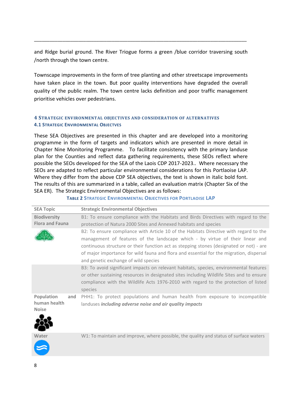and Ridge burial ground. The River Triogue forms a green /blue corridor traversing south /north through the town centre.

\_\_\_\_\_\_\_\_\_\_\_\_\_\_\_\_\_\_\_\_\_\_\_\_\_\_\_\_\_\_\_\_\_\_\_\_\_\_\_\_\_\_\_\_\_\_\_\_\_\_\_\_\_\_\_\_\_\_\_\_\_\_\_\_\_\_\_\_\_\_\_\_\_\_\_\_\_\_\_\_\_\_

Townscape improvements in the form of tree planting and other streetscape improvements have taken place in the town. But poor quality interventions have degraded the overall quality of the public realm. The town centre lacks definition and poor traffic management prioritise vehicles over pedestrians.

## <span id="page-8-0"></span>**4 STRATEGIC ENVIRONMENTAL OBJECTIVES AND CONSIDERATION OF ALTERNATIVES 4.1 STRATEGIC ENVIRONMENTAL OBJECTVES**

These SEA Objectives are presented in this chapter and are developed into a monitoring programme in the form of targets and indicators which are presented in more detail in Chapter Nine Monitoring Programme. To facilitate consistency with the primary landuse plan for the Counties and reflect data gathering requirements, these SEOs reflect where possible the SEOs developed for the SEA of the Laois CDP 2017-2023.. Where necessary the SEOs are adapted to reflect particular environmental considerations for this Portlaoise LAP. Where they differ from the above CDP SEA objectives, the text is shown in italic bold font. The results of this are summarized in a table, called an evaluation matrix (Chapter Six of the SEA ER). The Strategic Environmental Objectives are as follows:

| <b>SEA Topic</b>                                  | <b>Strategic Environmental Objectives</b>                                                                                                                                                                                                                                                                                                                                                            |
|---------------------------------------------------|------------------------------------------------------------------------------------------------------------------------------------------------------------------------------------------------------------------------------------------------------------------------------------------------------------------------------------------------------------------------------------------------------|
| <b>Biodiversity</b><br><b>Flora and Fauna</b>     | B1: To ensure compliance with the Habitats and Birds Directives with regard to the<br>protection of Natura 2000 Sites and Annexed habitats and species                                                                                                                                                                                                                                               |
|                                                   | B2: To ensure compliance with Article 10 of the Habitats Directive with regard to the<br>management of features of the landscape which - by virtue of their linear and<br>continuous structure or their function act as stepping stones (designated or not) - are<br>of major importance for wild fauna and flora and essential for the migration, dispersal<br>and genetic exchange of wild species |
|                                                   | B3: To avoid significant impacts on relevant habitats, species, environmental features<br>or other sustaining resources in designated sites including Wildlife Sites and to ensure<br>compliance with the Wildlife Acts 1976-2010 with regard to the protection of listed<br>species                                                                                                                 |
| Population<br>and<br>human health<br><b>Noise</b> | PHH1: To protect populations and human health from exposure to incompatible<br>landuses including adverse noise and air quality impacts                                                                                                                                                                                                                                                              |

## **TABLE 2 STRATEGIC ENVIRONMENTAL OBJECTIVES FOR PORTLAOISE LAP**



W1: To maintain and improve, where possible, the quality and status of surface waters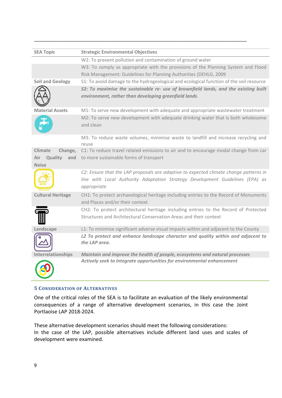| <b>SEA Topic</b>          | <b>Strategic Environmental Objectives</b>                                                                                                                                             |
|---------------------------|---------------------------------------------------------------------------------------------------------------------------------------------------------------------------------------|
|                           | W2: To prevent pollution and contamination of ground water                                                                                                                            |
|                           | W3: To comply as appropriate with the provisions of the Planning System and Flood                                                                                                     |
|                           | Risk Management: Guidelines for Planning Authorities (DEHLG, 2009                                                                                                                     |
| <b>Soil and Geology</b>   | S1: To avoid damage to the hydrogeological and ecological function of the soil resource                                                                                               |
|                           | S2: To maximise the sustainable re- use of brownfield lands, and the existing built<br>environment, rather than developing greenfield lands.                                          |
| <b>Material Assets</b>    | M1: To serve new development with adequate and appropriate wastewater treatment                                                                                                       |
|                           | M2: To serve new development with adequate drinking water that is both wholesome<br>and clean                                                                                         |
|                           | M3: To reduce waste volumes, minimise waste to landfill and increase recycling and<br>reuse                                                                                           |
| <b>Climate</b><br>Change, | C1: To reduce travel related emissions to air and to encourage modal change from car                                                                                                  |
| Air<br>Quality            | and to more sustainable forms of transport                                                                                                                                            |
| <b>Noise</b>              |                                                                                                                                                                                       |
|                           | C2: Ensure that the LAP proposals are adaptive to expected climate change patterns in<br>line with Local Authority Adaptation Strategy Development Guidelines (EPA) as<br>appropriate |
| <b>Cultural Heritage</b>  | CH1: To protect archaeological heritage including entries to the Record of Monuments<br>and Places and/or their context                                                               |
|                           | CH2: To protect architectural heritage including entries to the Record of Protected<br>Structures and Architectural Conservation Areas and their context                              |
| Landscape                 | L1: To minimise significant adverse visual impacts within and adjacent to the County                                                                                                  |
|                           | L2 To protect and enhance landscape character and quality within and adjacent to<br>the LAP area.                                                                                     |
| Interrelationships        | Maintain and improve the health of people, ecosystems and natural processes                                                                                                           |
|                           | Actively seek to integrate opportunities for environmental enhancement                                                                                                                |

## <span id="page-9-0"></span>**5 CONSIDERATION OF ALTERNATIVES**

One of the critical roles of the SEA is to facilitate an evaluation of the likely environmental consequences of a range of alternative development scenarios, in this case the Joint Portlaoise LAP 2018-2024.

These alternative development scenarios should meet the following considerations: In the case of the LAP, possible alternatives include different land uses and scales of development were examined.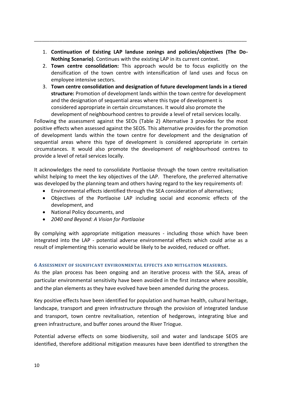1. **Continuation of Existing LAP landuse zonings and policies/objectives (The Do-Nothing Scenario)**. Continues with the existing LAP in its current context.

\_\_\_\_\_\_\_\_\_\_\_\_\_\_\_\_\_\_\_\_\_\_\_\_\_\_\_\_\_\_\_\_\_\_\_\_\_\_\_\_\_\_\_\_\_\_\_\_\_\_\_\_\_\_\_\_\_\_\_\_\_\_\_\_\_\_\_\_\_\_\_\_\_\_\_\_\_\_\_\_\_\_

- 2. **Town centre consolidation:** This approach would be to focus explicitly on the densification of the town centre with intensification of land uses and focus on employee intensive sectors.
- 3. **Town centre consolidation and designation of future development lands in a tiered structure:** Promotion of development lands within the town centre for development and the designation of sequential areas where this type of development is considered appropriate in certain circumstances. It would also promote the development of neighbourhood centres to provide a level of retail services locally.

Following the assessment against the SEOs (Table 2) Alternative 3 provides for the most positive effects when assessed against the SEOS. This alternative provides for the promotion of development lands within the town centre for development and the designation of sequential areas where this type of development is considered appropriate in certain circumstances. It would also promote the development of neighbourhood centres to provide a level of retail services locally.

It acknowledges the need to consolidate Portlaoise through the town centre revitalisation whilst helping to meet the key objectives of the LAP. Therefore, the preferred alternative was developed by the planning team and others having regard to the key requirements of:

- Environmental effects identified through the SEA consideration of alternatives;
- Objectives of the Portlaoise LAP including social and economic effects of the development, and
- National Policy documents, and
- *2040 and Beyond: A Vision for Portlaoise*

By complying with appropriate mitigation measures - including those which have been integrated into the LAP - potential adverse environmental effects which could arise as a result of implementing this scenario would be likely to be avoided, reduced or offset.

## <span id="page-10-0"></span>**6 ASSESSMENT OF SIGNIFICANT ENVIRONMENTAL EFFECTS AND MITIGATION MEASURES.**

As the plan process has been ongoing and an iterative process with the SEA, areas of particular environmental sensitivity have been avoided in the first instance where possible, and the plan elements as they have evolved have been amended during the process.

Key positive effects have been identified for population and human health, cultural heritage, landscape, transport and green infrastructure through the provision of integrated landuse and transport, town centre revitalisation, retention of hedgerows, integrating blue and green infrastructure, and buffer zones around the River Triogue.

Potential adverse effects on some biodiversity, soil and water and landscape SEOS are identified, therefore additional mitigation measures have been identified to strengthen the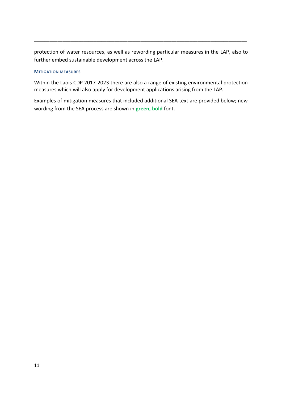protection of water resources, as well as rewording particular measures in the LAP, also to further embed sustainable development across the LAP.

\_\_\_\_\_\_\_\_\_\_\_\_\_\_\_\_\_\_\_\_\_\_\_\_\_\_\_\_\_\_\_\_\_\_\_\_\_\_\_\_\_\_\_\_\_\_\_\_\_\_\_\_\_\_\_\_\_\_\_\_\_\_\_\_\_\_\_\_\_\_\_\_\_\_\_\_\_\_\_\_\_\_

### **MITIGATION MEASURES**

Within the Laois CDP 2017-2023 there are also a range of existing environmental protection measures which will also apply for development applications arising from the LAP.

Examples of mitigation measures that included additional SEA text are provided below; new wording from the SEA process are shown in **green, bold** font.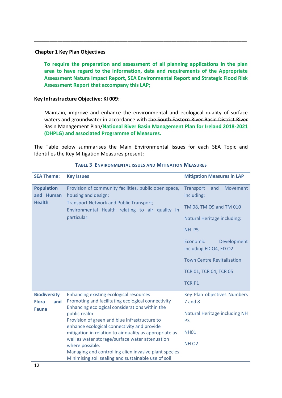### **Chapter 1 Key Plan Objectives**

**To require the preparation and assessment of all planning applications in the plan area to have regard to the information, data and requirements of the Appropriate Assessment Natura Impact Report, SEA Environmental Report and Strategic Flood Risk Assessment Report that accompany this LAP;**

\_\_\_\_\_\_\_\_\_\_\_\_\_\_\_\_\_\_\_\_\_\_\_\_\_\_\_\_\_\_\_\_\_\_\_\_\_\_\_\_\_\_\_\_\_\_\_\_\_\_\_\_\_\_\_\_\_\_\_\_\_\_\_\_\_\_\_\_\_\_\_\_\_\_\_\_\_\_\_\_\_\_

## **Key Infrastructure Objective: KI 009**:

Maintain, improve and enhance the environmental and ecological quality of surface waters and groundwater in accordance with the South Eastern River Basin District River Basin Management Plan/**National River Basin Management Plan for Ireland 2018-2021 (DHPLG) and associated Programme of Measures.**

The Table below summarises the Main Environmental Issues for each SEA Topic and Identifies the Key Mitigation Measures present:

| <b>SEA Theme:</b>                          | <b>Key Issues</b><br><b>Mitigation Measures in LAP</b>                                                                                                 |                                                   |  |
|--------------------------------------------|--------------------------------------------------------------------------------------------------------------------------------------------------------|---------------------------------------------------|--|
| <b>Population</b><br>and Human             | Provision of community facilities, public open space,<br>housing and design;                                                                           | Movement<br>Transport<br>and<br>including:        |  |
| <b>Health</b>                              | <b>Transport Network and Public Transport;</b><br>Environmental Health relating to air quality in                                                      | TM 08, TM O9 and TM 010                           |  |
|                                            | particular.                                                                                                                                            | <b>Natural Heritage including:</b>                |  |
|                                            |                                                                                                                                                        | NH P5                                             |  |
|                                            |                                                                                                                                                        | Economic<br>Development<br>including ED 04, ED 02 |  |
|                                            |                                                                                                                                                        | <b>Town Centre Revitalisation</b>                 |  |
|                                            |                                                                                                                                                        | TCR 01, TCR 04, TCR 05                            |  |
|                                            |                                                                                                                                                        | <b>TCR P1</b>                                     |  |
| <b>Biodiversity</b><br><b>Flora</b><br>and | <b>Enhancing existing ecological resources</b><br>Promoting and facilitating ecological connectivity<br>Enhancing ecological considerations within the | Key Plan objectives Numbers<br>$7$ and $8$        |  |
| <b>Fauna</b>                               | public realm<br>Provision of green and blue infrastructure to<br>enhance ecological connectivity and provide                                           | Natural Heritage including NH<br>P <sub>3</sub>   |  |
|                                            | mitigation in relation to air quality as appropriate as                                                                                                | <b>NH01</b>                                       |  |
|                                            | well as water storage/surface water attenuation<br>where possible.                                                                                     | <b>NH O2</b>                                      |  |
|                                            | Managing and controlling alien invasive plant species<br>Minimising soil sealing and sustainable use of soil                                           |                                                   |  |

#### **TABLE 3 ENVIRONMENTAL ISSUES AND MITIGATION MEASURES**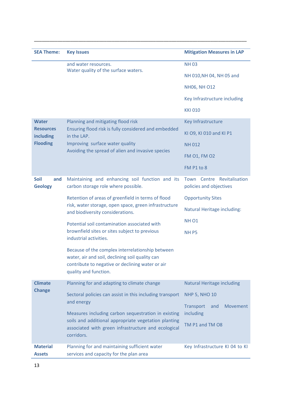| <b>SEA Theme:</b>                    | <b>Key Issues</b>                                                                                           | <b>Mitigation Measures in LAP</b>                     |
|--------------------------------------|-------------------------------------------------------------------------------------------------------------|-------------------------------------------------------|
|                                      | and water resources.                                                                                        | <b>NH03</b>                                           |
|                                      | Water quality of the surface waters.                                                                        | NH 010, NH 04, NH 05 and                              |
|                                      |                                                                                                             | <b>NH06, NH 012</b>                                   |
|                                      |                                                                                                             | Key Infrastructure including                          |
|                                      |                                                                                                             | <b>KKI 010</b>                                        |
| <b>Water</b>                         | Planning and mitigating flood risk                                                                          | Key Infrastructure                                    |
| <b>Resources</b><br>including        | Ensuring flood risk is fully considered and embedded<br>in the LAP.                                         | KI O9, KI 010 and KI P1                               |
| <b>Flooding</b>                      | Improving surface water quality                                                                             | <b>NH012</b>                                          |
|                                      | Avoiding the spread of alien and invasive species                                                           | <b>FM 01, FM 02</b>                                   |
|                                      |                                                                                                             | FM P1 to 8                                            |
| <b>Soil</b><br>and<br><b>Geology</b> | Maintaining and enhancing soil function and its<br>carbon storage role where possible.                      | Town Centre Revitalisation<br>policies and objectives |
|                                      | Retention of areas of greenfield in terms of flood                                                          | <b>Opportunity Sites</b>                              |
|                                      | risk, water storage, open space, green infrastructure<br>and biodiversity considerations.                   | Natural Heritage including:                           |
|                                      | Potential soil contamination associated with                                                                | <b>NH 01</b>                                          |
|                                      | brownfield sites or sites subject to previous<br>industrial activities.                                     | NH <sub>P5</sub>                                      |
|                                      | Because of the complex interrelationship between<br>water, air and soil, declining soil quality can         |                                                       |
|                                      | contribute to negative or declining water or air<br>quality and function.                                   |                                                       |
| <b>Climate</b>                       | Planning for and adapting to climate change                                                                 | <b>Natural Heritage including</b>                     |
| <b>Change</b>                        | Sectoral policies can assist in this including transport<br>and energy                                      | <b>NHP 5, NHO 10</b>                                  |
|                                      |                                                                                                             | <b>Transport</b><br>Movement<br>and                   |
|                                      | Measures including carbon sequestration in existing<br>soils and additional appropriate vegetation planting | including                                             |
|                                      | associated with green infrastructure and ecological<br>corridors.                                           | TM P1 and TM O8                                       |
| <b>Material</b><br><b>Assets</b>     | Planning for and maintaining sufficient water<br>services and capacity for the plan area                    | Key Infrastructure KI 04 to KI                        |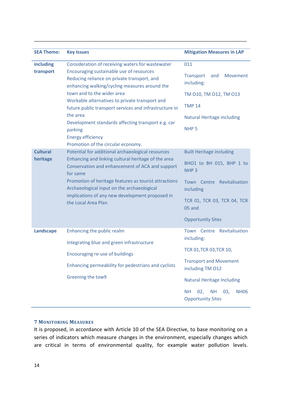| <b>SEA Theme:</b>           | <b>Key Issues</b>                                                                                                                                                                                                                                                                                                                                                                                                                               | <b>Mitigation Measures in LAP</b>                                                                                                                                                                                                                |
|-----------------------------|-------------------------------------------------------------------------------------------------------------------------------------------------------------------------------------------------------------------------------------------------------------------------------------------------------------------------------------------------------------------------------------------------------------------------------------------------|--------------------------------------------------------------------------------------------------------------------------------------------------------------------------------------------------------------------------------------------------|
| including<br>transport      | Consideration of receiving waters for wastewater<br>Encouraging sustainable use of resources<br>Reducing reliance on private transport, and<br>enhancing walking/cycling measures around the<br>town and to the wider area<br>Workable alternatives to private transport and<br>future public transport services and infrastructure in<br>the area<br>Development standards affecting transport e.g. car<br>parking<br><b>Energy efficiency</b> | 011<br><b>Transport</b><br>Movement<br>and<br>including:<br>TM 010, TM 012, TM 013<br><b>TMP 14</b><br><b>Natural Heritage including</b><br>NHP <sub>5</sub>                                                                                     |
| <b>Cultural</b><br>heritage | Promotion of the circular economy.<br>Potential for additional archaeological resources<br>Enhancing and linking cultural heritage of the area<br>Conservation and enhancement of ACA and support<br>for same<br>Promotion of heritage features as tourist attractions<br>Archaeological input on the archaeological<br>implications of any new development proposed in<br>the Local Area Plan                                                  | <b>Built Heritage including</b><br>BHO1 to BH 015, BHP 1 to<br>NHP <sub>3</sub><br>Town Centre Revitalisation<br>including<br>TCR 01, TCR 03, TCR 04, TCR<br>05 and<br><b>Opportunity Sites</b>                                                  |
| <b>Landscape</b>            | Enhancing the public realm<br>Integrating blue and green infrastructure<br>Encouraging re-use of buildings<br>Enhancing permeability for pedestrians and cyclists<br>Greening the tow9                                                                                                                                                                                                                                                          | Town Centre Revitalisation<br>including:<br>TCR 01, TCR 03, TCR 10,<br><b>Transport and Movement</b><br>including TM 012<br><b>Natural Heritage Including</b><br><b>NH</b><br>02,<br><b>NH</b><br>03,<br><b>NH06</b><br><b>Opportunity Sites</b> |

## <span id="page-14-0"></span>**7 MONITORING MEASURES**

It is proposed, in accordance with Article 10 of the SEA Directive, to base monitoring on a series of indicators which measure changes in the environment, especially changes which are critical in terms of environmental quality, for example water pollution levels.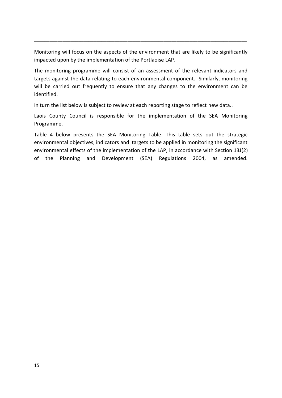Monitoring will focus on the aspects of the environment that are likely to be significantly impacted upon by the implementation of the Portlaoise LAP.

\_\_\_\_\_\_\_\_\_\_\_\_\_\_\_\_\_\_\_\_\_\_\_\_\_\_\_\_\_\_\_\_\_\_\_\_\_\_\_\_\_\_\_\_\_\_\_\_\_\_\_\_\_\_\_\_\_\_\_\_\_\_\_\_\_\_\_\_\_\_\_\_\_\_\_\_\_\_\_\_\_\_

The monitoring programme will consist of an assessment of the relevant indicators and targets against the data relating to each environmental component. Similarly, monitoring will be carried out frequently to ensure that any changes to the environment can be identified.

In turn the list below is subject to review at each reporting stage to reflect new data..

Laois County Council is responsible for the implementation of the SEA Monitoring Programme.

Table 4 below presents the SEA Monitoring Table. This table sets out the strategic environmental objectives, indicators and targets to be applied in monitoring the significant environmental effects of the implementation of the LAP, in accordance with Section 13J(2) of the Planning and Development (SEA) Regulations 2004, as amended.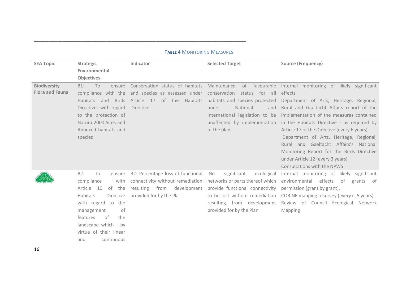| <b>SEA Topic</b>       | <b>Strategic</b>                   | Indicator                                                                     | <b>Selected Target</b>                                             | <b>Source (Frequency)</b>                                             |
|------------------------|------------------------------------|-------------------------------------------------------------------------------|--------------------------------------------------------------------|-----------------------------------------------------------------------|
|                        | Environmental                      |                                                                               |                                                                    |                                                                       |
|                        | Objectives                         |                                                                               |                                                                    |                                                                       |
| <b>Biodiversity</b>    | To<br>$B1$ :<br>ensure             | Conservation status of habitats Maintenance                                   | of favourable                                                      | Internal monitoring of likely significant                             |
| <b>Flora and Fauna</b> |                                    | compliance with the and species as assessed under conservation status for all |                                                                    | effects                                                               |
|                        | Habitats and<br>Birds              | Article 17 of the Habitats habitats and species protected                     |                                                                    | Department of Arts, Heritage, Regional,                               |
|                        | Directives with regard             | Directive                                                                     | under<br>National<br>and                                           | Rural and Gaeltacht Affairs report of the                             |
|                        | to the protection of               |                                                                               | International legislation to be                                    | implementation of the measures contained                              |
|                        | Natura 2000 Sites and              |                                                                               | unaffected by implementation                                       | in the Habitats Directive - as required by                            |
|                        | Annexed habitats and               |                                                                               | of the plan                                                        | Article 17 of the Directive (every 6 years).                          |
|                        | species                            |                                                                               |                                                                    | Department of Arts, Heritage, Regional,                               |
|                        |                                    |                                                                               |                                                                    | Rural and Gaeltacht Affairs's National                                |
|                        |                                    |                                                                               |                                                                    | Monitoring Report for the Birds Directive                             |
|                        |                                    |                                                                               |                                                                    | under Article 12 (every 3 years).                                     |
|                        | B2:                                |                                                                               |                                                                    | Consultations with the NPWS                                           |
|                        | To<br>ensure<br>compliance<br>with | B2: Percentage loss of functional<br>connectivity without remediation         | significant<br>ecological<br>No<br>networks or parts thereof which | Internal monitoring of likely significant<br>environmental effects of |
|                        | Article 10<br>of<br>the            | resulting from development                                                    | provide functional connectivity                                    | grants of<br>permission (grant by grant).                             |
|                        | Habitats<br>Directive              | provided for by the Pla                                                       | to be lost without remediation                                     | CORINE mapping resurvey (every c. 5 years).                           |
|                        | with regard to the                 |                                                                               | resulting from development                                         | Review of Council Ecological Network                                  |
|                        | management<br>of                   |                                                                               | provided for by the Plan                                           | <b>Mapping</b>                                                        |
|                        | of<br>the<br>features              |                                                                               |                                                                    |                                                                       |
|                        | landscape which - by               |                                                                               |                                                                    |                                                                       |
|                        | virtue of their linear             |                                                                               |                                                                    |                                                                       |
|                        | continuous<br>and                  |                                                                               |                                                                    |                                                                       |

#### **TABLE 4** MONITORING MEASURES

\_\_\_\_\_\_\_\_\_\_\_\_\_\_\_\_\_\_\_\_\_\_\_\_\_\_\_\_\_\_\_\_\_\_\_\_\_\_\_\_\_\_\_\_\_\_\_\_\_\_\_\_\_\_\_\_\_\_\_\_\_\_\_\_\_\_\_\_\_\_\_\_\_\_\_\_\_\_\_\_\_\_

16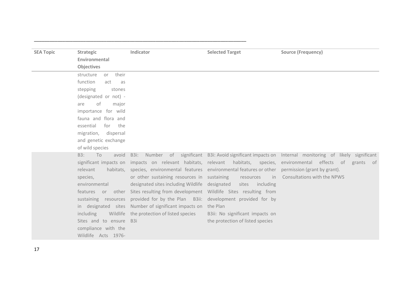| <b>SEA Topic</b> | <b>Strategic</b>         | Indicator                                                                                              | <b>Selected Target</b>           | <b>Source (Frequency)</b>                                                                         |
|------------------|--------------------------|--------------------------------------------------------------------------------------------------------|----------------------------------|---------------------------------------------------------------------------------------------------|
|                  | Environmental            |                                                                                                        |                                  |                                                                                                   |
|                  | <b>Objectives</b>        |                                                                                                        |                                  |                                                                                                   |
|                  | their<br>structure<br>or |                                                                                                        |                                  |                                                                                                   |
|                  | function<br>act<br>as    |                                                                                                        |                                  |                                                                                                   |
|                  | stepping<br>stones       |                                                                                                        |                                  |                                                                                                   |
|                  | (designated or not) -    |                                                                                                        |                                  |                                                                                                   |
|                  | οf<br>major<br>are       |                                                                                                        |                                  |                                                                                                   |
|                  | importance for wild      |                                                                                                        |                                  |                                                                                                   |
|                  | fauna and flora and      |                                                                                                        |                                  |                                                                                                   |
|                  | essential<br>for<br>the  |                                                                                                        |                                  |                                                                                                   |
|                  | migration,<br>dispersal  |                                                                                                        |                                  |                                                                                                   |
|                  | and genetic exchange     |                                                                                                        |                                  |                                                                                                   |
|                  | of wild species          |                                                                                                        |                                  |                                                                                                   |
|                  | B3:<br>To<br>avoid       | B3i:                                                                                                   |                                  | Number of significant B3i: Avoid significant impacts on Internal monitoring of likely significant |
|                  |                          | significant impacts on impacts on relevant habitats, relevant habitats, species,                       |                                  | environmental effects<br>of<br>grants<br>of                                                       |
|                  | relevant                 | habitats, species, environmental features environmental features or other permission (grant by grant). |                                  |                                                                                                   |
|                  | species,                 | or other sustaining resources in sustaining                                                            | resources<br>in                  | Consultations with the NPWS                                                                       |
|                  | environmental            | designated sites including Wildlife                                                                    | designated<br>sites<br>including |                                                                                                   |
|                  | features or other        | Sites resulting from development  Wildlife  Sites  resulting  from                                     |                                  |                                                                                                   |
|                  | sustaining resources     | provided for by the Plan B3ii: development provided for by                                             |                                  |                                                                                                   |
|                  |                          | in designated sites Number of significant impacts on                                                   | the Plan                         |                                                                                                   |
|                  | including                | Wildlife the protection of listed species                                                              | B3ii: No significant impacts on  |                                                                                                   |
|                  | Sites and to ensure B3i  |                                                                                                        | the protection of listed species |                                                                                                   |
|                  | compliance with the      |                                                                                                        |                                  |                                                                                                   |
|                  | Wildlife Acts 1976-      |                                                                                                        |                                  |                                                                                                   |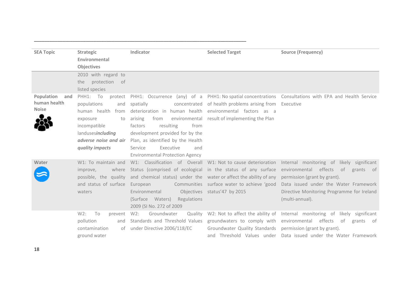| <b>SEA Topic</b>  | <b>Strategic</b>        | Indicator                                                         | <b>Selected Target</b>                        | <b>Source (Frequency)</b>                                                  |
|-------------------|-------------------------|-------------------------------------------------------------------|-----------------------------------------------|----------------------------------------------------------------------------|
|                   | Environmental           |                                                                   |                                               |                                                                            |
|                   | <b>Objectives</b>       |                                                                   |                                               |                                                                            |
|                   | 2010 with regard to     |                                                                   |                                               |                                                                            |
|                   | protection<br>of<br>the |                                                                   |                                               |                                                                            |
|                   | listed species          |                                                                   |                                               |                                                                            |
| Population<br>and | PHH1: To<br>protect     | PHH1: Occurrence (any) of a PHH1: No spatial concentrations       |                                               | Consultations with EPA and Health Service                                  |
| human health      | populations<br>and      | spatially<br>concentrated                                         | of health problems arising from               | Executive                                                                  |
| <b>Noise</b>      | human health<br>from    | deterioration in human health                                     | environmental factors as a                    |                                                                            |
|                   | exposure<br>to          | arising<br>from                                                   | environmental result of implementing the Plan |                                                                            |
|                   | incompatible            | resulting<br>factors<br>from                                      |                                               |                                                                            |
|                   | landusesincluding       | development provided for by the                                   |                                               |                                                                            |
|                   |                         | adverse noise and air Plan, as identified by the Health           |                                               |                                                                            |
|                   | quality impacts         | Executive<br>Service<br>and                                       |                                               |                                                                            |
|                   |                         | <b>Environmental Protection Agency</b>                            |                                               |                                                                            |
| Water             | W1: To maintain and     | W1: Classification of Overall W1: Not to cause deterioration      |                                               | Internal monitoring of likely significant                                  |
|                   | where<br>improve,       | Status (comprised of ecological in the status of any surface      |                                               | environmental effects of<br>grants of                                      |
|                   | possible, the quality   | and chemical status) under the water or affect the ability of any |                                               | permission (grant by grant).                                               |
|                   | and status of surface   | European                                                          | Communities surface water to achieve 'good    | Data issued under the Water Framework                                      |
|                   | waters                  | Environmental                                                     | Objectives status'47 by 2015                  | Directive Monitoring Programme for Ireland                                 |
|                   |                         | (Surface Waters)<br>Regulations                                   |                                               | (multi-annual).                                                            |
|                   |                         | 2009 (SI No. 272 of 2009)                                         |                                               |                                                                            |
|                   | W2:<br>To<br>prevent    | $W2$ :<br>Groundwater<br>Quality                                  |                                               | W2: Not to affect the ability of Internal monitoring of likely significant |
|                   | pollution<br>and        | Standards and Threshold Values                                    | groundwaters to comply with                   | environmental effects<br>of<br>grants of                                   |
|                   | contamination<br>of     | under Directive 2006/118/EC                                       | Groundwater Quality Standards                 | permission (grant by grant).                                               |
|                   | ground water            |                                                                   | and Threshold Values under                    | Data issued under the Water Framework                                      |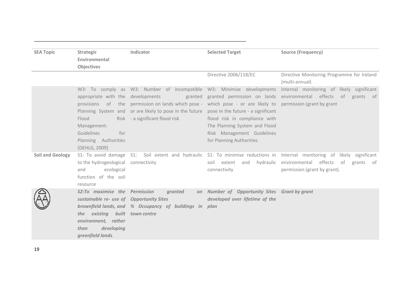| <b>SEA Topic</b>        | <b>Strategic</b><br>Environmental<br><b>Objectives</b>                                                                                                                        | Indicator                                                                                                                                                                                                                                                                                                                                                  | <b>Selected Target</b>                                                                                                   | <b>Source (Frequency)</b>                                                                                                                                                                          |
|-------------------------|-------------------------------------------------------------------------------------------------------------------------------------------------------------------------------|------------------------------------------------------------------------------------------------------------------------------------------------------------------------------------------------------------------------------------------------------------------------------------------------------------------------------------------------------------|--------------------------------------------------------------------------------------------------------------------------|----------------------------------------------------------------------------------------------------------------------------------------------------------------------------------------------------|
|                         |                                                                                                                                                                               |                                                                                                                                                                                                                                                                                                                                                            | Directive 2006/118/EC                                                                                                    | Directive Monitoring Programme for Ireland<br>(multi-annual)                                                                                                                                       |
|                         | Flood<br>Management:<br>Guidelines<br>for<br>Planning Authorities<br>(DEHLG, 2009)                                                                                            | W3: To comply as W3: Number of incompatible W3: Minimise developments<br>appropriate with the developments<br>provisions of the permission on lands which pose - which pose - or are likely to permission (grant by grant<br>Planning System and or are likely to pose in the future pose in the future - a significant<br>Risk - a significant flood risk | flood risk in compliance with<br>The Planning System and Flood<br>Risk Management Guidelines<br>for Planning Authorities | Internal monitoring of likely significant<br>granted granted permission on lands environmental effects of grants of                                                                                |
| <b>Soil and Geology</b> | to the hydrogeological connectivity<br>ecological<br>and<br>function of the soil<br>resource                                                                                  |                                                                                                                                                                                                                                                                                                                                                            | soil extent and hydraulic<br>connectivity                                                                                | S1: To avoid damage S1: Soil extent and hydraulic S1: To minimise reductions in Internal monitoring of likely significant<br>environmental effects of<br>grants of<br>permission (grant by grant). |
|                         | S2:To maximise the Permission<br>sustainable re- use of Opportunity Sites<br>the existing built town centre<br>environment, rather<br>developing<br>than<br>greenfield lands. | granted<br>brownfield lands, and % Occupancy of buildings in                                                                                                                                                                                                                                                                                               | on Number of Opportunity Sites Grant by grant<br>developed over lifetime of the<br>plan                                  |                                                                                                                                                                                                    |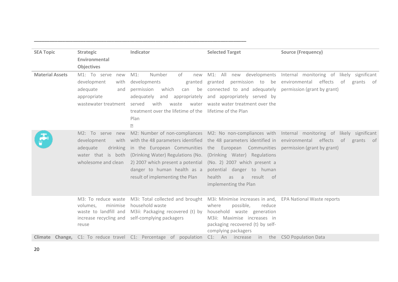| <b>SEA Topic</b>       | <b>Strategic</b>                                                                                             | Indicator                                                                                                                                                                                                                                                                                         | <b>Selected Target</b>                                                                                                                                                                  | <b>Source (Frequency)</b>                                                                                                                             |
|------------------------|--------------------------------------------------------------------------------------------------------------|---------------------------------------------------------------------------------------------------------------------------------------------------------------------------------------------------------------------------------------------------------------------------------------------------|-----------------------------------------------------------------------------------------------------------------------------------------------------------------------------------------|-------------------------------------------------------------------------------------------------------------------------------------------------------|
|                        | Environmental                                                                                                |                                                                                                                                                                                                                                                                                                   |                                                                                                                                                                                         |                                                                                                                                                       |
|                        | <b>Objectives</b>                                                                                            |                                                                                                                                                                                                                                                                                                   |                                                                                                                                                                                         |                                                                                                                                                       |
| <b>Material Assets</b> | M1: To serve<br>new<br>development<br>with<br>adequate<br>and<br>appropriate<br>wastewater treatment         | Number<br>of<br>$M1$ :<br>new<br>developments<br>granted<br>permission<br>which<br>can<br>adequately<br>and appropriately<br>with<br>waste<br>water<br>served<br>treatment over the lifetime of the lifetime of the Plan<br>Plan<br>$\overline{2}$                                                | M1: All new developments<br>granted<br>permission to be<br>be connected to and adequately<br>and appropriately served by<br>waste water treatment over the                              | Internal monitoring of likely significant<br>effects<br>environmental<br>of<br>grants<br>of<br>permission (grant by grant)                            |
|                        | M2: To serve new<br>development<br>with<br>drinking<br>adequate<br>water that is both<br>wholesome and clean | with the 48 parameters identified the 48 parameters identified in<br>in the European Communities the European Communities permission (grant by grant)<br>(Drinking Water) Regulations (No.<br>2) 2007 which present a potential<br>danger to human health as a<br>result of implementing the Plan | (Drinking Water) Regulations<br>(No. 2) 2007 which present a<br>potential danger to human<br>health<br>result<br>- of<br>as<br>$\overline{a}$<br>implementing the Plan                  | M2: Number of non-compliances M2: No non-compliances with Internal monitoring of likely significant<br>environmental<br>effects<br>of<br>grants<br>of |
|                        | M3: To reduce waste<br>minimise<br>volumes,<br>waste to landfill and<br>increase recycling and<br>reuse      | M3i: Total collected and brought<br>household waste<br>M3ii: Packaging recovered (t) by<br>self-complying packagers                                                                                                                                                                               | M3i: Minimise increases in and,<br>possible,<br>where<br>reduce<br>household waste generation<br>M3ii: Maximise increases in<br>packaging recovered (t) by self-<br>complying packagers | <b>EPA National Waste reports</b>                                                                                                                     |
| Climate                |                                                                                                              | <b>Change,</b> C1: To reduce travel C1: Percentage of population                                                                                                                                                                                                                                  | C1: An increase<br>in                                                                                                                                                                   | the CSO Population Data                                                                                                                               |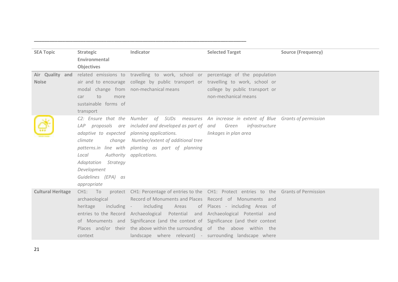| <b>SEA Topic</b>         | Strategic               | Indicator                                                                                          | <b>Selected Target</b>                         | <b>Source (Frequency)</b> |
|--------------------------|-------------------------|----------------------------------------------------------------------------------------------------|------------------------------------------------|---------------------------|
|                          | Environmental           |                                                                                                    |                                                |                           |
|                          | <b>Objectives</b>       |                                                                                                    |                                                |                           |
| Air Quality and          |                         | related emissions to travelling to work, school or percentage of the population                    |                                                |                           |
| <b>Noise</b>             |                         | air and to encourage college by public transport or travelling to work, school or                  |                                                |                           |
|                          |                         | modal change from non-mechanical means                                                             | college by public transport or                 |                           |
|                          | to<br>more<br>car       |                                                                                                    | non-mechanical means                           |                           |
|                          | sustainable forms of    |                                                                                                    |                                                |                           |
|                          | transport               |                                                                                                    |                                                |                           |
|                          |                         | C2: Ensure that the Number of SUDs measures An increase in extent of Blue Grants of permission     |                                                |                           |
|                          |                         | LAP proposals are included and developed as part of and Green                                      | infrastructure                                 |                           |
|                          |                         | adaptive to expected planning applications.                                                        | linkages in plan area                          |                           |
|                          | climate                 | change Number/extent of additional tree                                                            |                                                |                           |
|                          |                         | patterns.in line with planting as part of planning                                                 |                                                |                           |
|                          | Local                   | Authority applications.                                                                            |                                                |                           |
|                          | Adaptation Strategy     |                                                                                                    |                                                |                           |
|                          | Development             |                                                                                                    |                                                |                           |
|                          | Guidelines (EPA) as     |                                                                                                    |                                                |                           |
|                          | appropriate             |                                                                                                    |                                                |                           |
| <b>Cultural Heritage</b> |                         | CH1: To protect CH1: Percentage of entries to the CH1: Protect entries to the Grants of Permission |                                                |                           |
|                          | archaeological          | Record of Monuments and Places Record of Monuments and                                             |                                                |                           |
|                          | heritage<br>including - |                                                                                                    | including Areas of Places - including Areas of |                           |
|                          |                         | entries to the Record Archaeological Potential and Archaeological Potential and                    |                                                |                           |
|                          |                         | of Monuments and Significance (and the context of Significance (and their context                  |                                                |                           |
|                          |                         | Places and/or their the above within the surrounding of the above within the                       |                                                |                           |
|                          | context                 | landscape where relevant) - surrounding landscape where                                            |                                                |                           |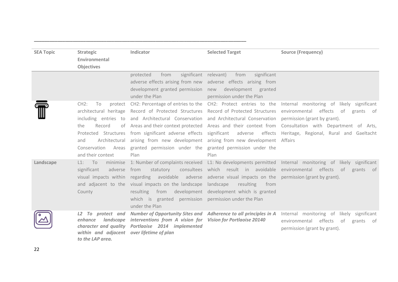| <b>SEA Topic</b> | <b>Strategic</b><br>Environmental<br><b>Objectives</b>                                                                                                             | Indicator                                                                                                                                                                                                                                                                                                                                                                                              | <b>Selected Target</b>                                    | <b>Source (Frequency)</b>                                                                                                                                                                                                                                                                    |
|------------------|--------------------------------------------------------------------------------------------------------------------------------------------------------------------|--------------------------------------------------------------------------------------------------------------------------------------------------------------------------------------------------------------------------------------------------------------------------------------------------------------------------------------------------------------------------------------------------------|-----------------------------------------------------------|----------------------------------------------------------------------------------------------------------------------------------------------------------------------------------------------------------------------------------------------------------------------------------------------|
|                  |                                                                                                                                                                    | significant relevant)<br>protected<br>from<br>adverse effects arising from new adverse effects arising from<br>development granted permission new development granted<br>under the Plan                                                                                                                                                                                                                | significant<br>from<br>permission under the Plan          |                                                                                                                                                                                                                                                                                              |
|                  | CH2:<br>To<br>protect<br>architectural heritage<br>including entries to<br>the<br>Record<br>of<br>Protected Structures<br>and<br>Conservation<br>and their context | CH2: Percentage of entries to the<br>Record of Protected Structures Record of Protected Structures<br>and Architectural Conservation and Architectural Conservation permission (grant by grant).<br>from significant adverse effects significant<br>Architectural arising from new development arising from new development<br>Areas granted permission under the granted permission under the<br>Plan | Plan                                                      | CH2: Protect entries to the Internal monitoring of likely significant<br>environmental<br>effects of grants of<br>Areas and their context protected Areas and their context from Consultation with Department of Arts,<br>adverse effects Heritage, Regional, Rural and Gaeltacht<br>Affairs |
| Landscape        | $L1:$ To<br>minimise<br>significant<br>adverse<br>County                                                                                                           | 1: Number of complaints received<br>from<br>statutory<br>visual impacts within regarding avoidable adverse adverse visual impacts on the permission (grant by grant).<br>and adjacent to the visual impacts on the landscape landscape<br>resulting from development development which is granted<br>which is granted permission permission under the Plan<br>under the Plan                           | consultees which result in avoidable<br>resulting<br>from | L1: No developments permitted Internal monitoring of likely significant<br>environmental effects of<br>grants of                                                                                                                                                                             |
|                  | L2 To protect and<br>landscape<br>enhance<br>within and adjacent over lifetime of plan<br>to the LAP area.                                                         | Number of Opportunity Sites and Adherence to all principles in A<br>interventions from A vision for<br>character and quality Portlaoise 2014 implemented                                                                                                                                                                                                                                               | <b>Vision for Portlaoise 20140</b>                        | Internal monitoring of likely significant<br>effects of<br>environmental<br>grants of<br>permission (grant by grant).                                                                                                                                                                        |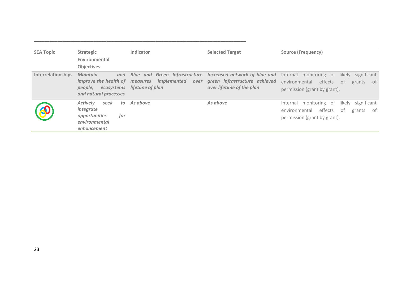| <b>SEA Topic</b>          | <b>Strategic</b>                                                                                           | Indicator                                                                                                      | <b>Selected Target</b>                                                                      | <b>Source (Frequency)</b>                                                                                                              |
|---------------------------|------------------------------------------------------------------------------------------------------------|----------------------------------------------------------------------------------------------------------------|---------------------------------------------------------------------------------------------|----------------------------------------------------------------------------------------------------------------------------------------|
|                           | Environmental                                                                                              |                                                                                                                |                                                                                             |                                                                                                                                        |
|                           | <b>Objectives</b>                                                                                          |                                                                                                                |                                                                                             |                                                                                                                                        |
| <b>Interrelationships</b> | Maintain<br>and<br>people,<br>ecosystems<br>and natural processes                                          | <b>Blue and Green Infrastructure</b><br>improve the health of measures implemented<br>over<br>lifetime of plan | Increased network of blue and<br>green infrastructure achieved<br>over lifetime of the plan | Internal monitoring of<br>significant<br>likely<br>effects<br>environmental<br>- of<br>grants<br>of -<br>permission (grant by grant).  |
|                           | <b>Actively</b><br>seek<br>to.<br><i>integrate</i><br>opportunities<br>for<br>environmental<br>enhancement | As above                                                                                                       | As above                                                                                    | monitoring of<br>significant<br>likely<br>Internal<br>effects<br>environmental<br>- of<br>grants<br>0t<br>permission (grant by grant). |